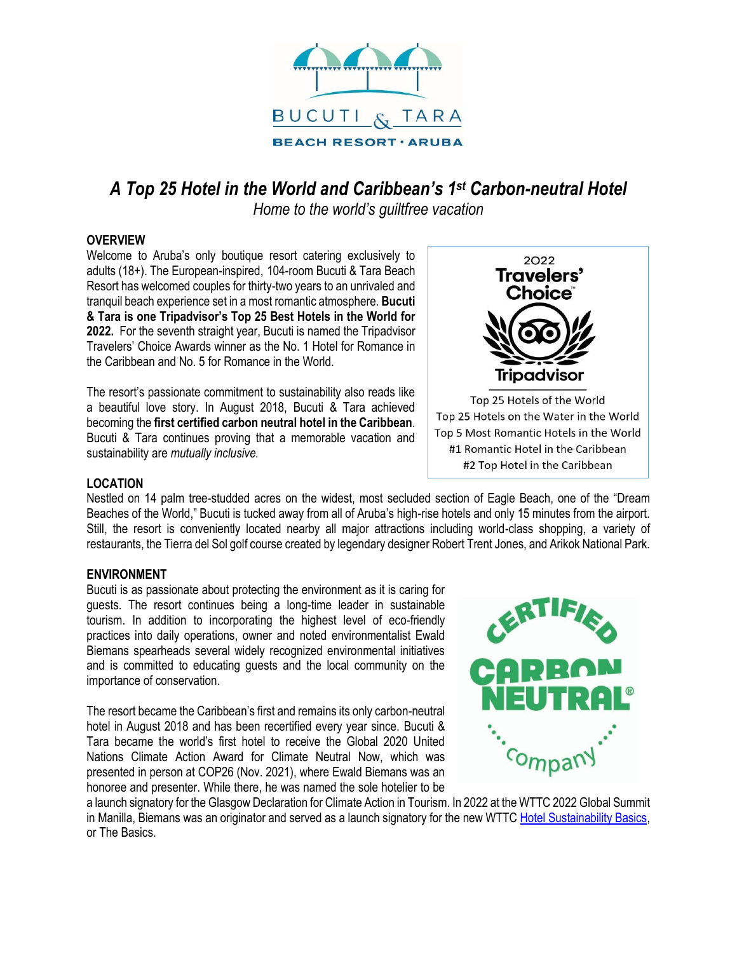

# *A Top 25 Hotel in the World and Caribbean's 1 st Carbon-neutral Hotel*

*Home to the world's guiltfree vacation*

# **OVERVIEW**

Welcome to Aruba's only boutique resort catering exclusively to adults (18+). The European-inspired, 104-room Bucuti & Tara Beach Resort has welcomed couples for thirty-two years to an unrivaled and tranquil beach experience set in a most romantic atmosphere. **Bucuti & Tara is one Tripadvisor's Top 25 Best Hotels in the World for 2022.** For the seventh straight year, Bucuti is named the Tripadvisor Travelers' Choice Awards winner as the No. 1 Hotel for Romance in the Caribbean and No. 5 for Romance in the World.

The resort's passionate commitment to sustainability also reads like a beautiful love story. In August 2018, Bucuti & Tara achieved becoming the **first certified carbon neutral hotel in the Caribbean**. Bucuti & Tara continues proving that a memorable vacation and sustainability are *mutually inclusive.*



Top 25 Hotels on the Water in the World Top 5 Most Romantic Hotels in the World #1 Romantic Hotel in the Caribbean #2 Top Hotel in the Caribbean

# **LOCATION**

Nestled on 14 palm tree-studded acres on the widest, most secluded section of Eagle Beach, one of the "Dream Beaches of the World," Bucuti is tucked away from all of Aruba's high-rise hotels and only 15 minutes from the airport. Still, the resort is conveniently located nearby all major attractions including world-class shopping, a variety of restaurants, the Tierra del Sol golf course created by legendary designer Robert Trent Jones, and Arikok National Park.

# **ENVIRONMENT**

Bucuti is as passionate about protecting the environment as it is caring for guests. The resort continues being a long-time leader in sustainable tourism. In addition to incorporating the highest level of eco-friendly practices into daily operations, owner and noted environmentalist Ewald Biemans spearheads several widely recognized environmental initiatives and is committed to educating guests and the local community on the importance of conservation.

The resort became the Caribbean's first and remains its only carbon-neutral hotel in August 2018 and has been recertified every year since. Bucuti & Tara became the world's first hotel to receive the Global 2020 United Nations Climate Action Award for Climate Neutral Now, which was presented in person at COP26 (Nov. 2021), where Ewald Biemans was an honoree and presenter. While there, he was named the sole hotelier to be



a launch signatory for the Glasgow Declaration for Climate Action in Tourism. In 2022 at the WTTC 2022 Global Summit in Manilla, Biemans was an originator and served as a launch signatory for the new WTTC [Hotel Sustainability Basics,](https://action.wttc.org/hotel-sustainability-basics) or The Basics.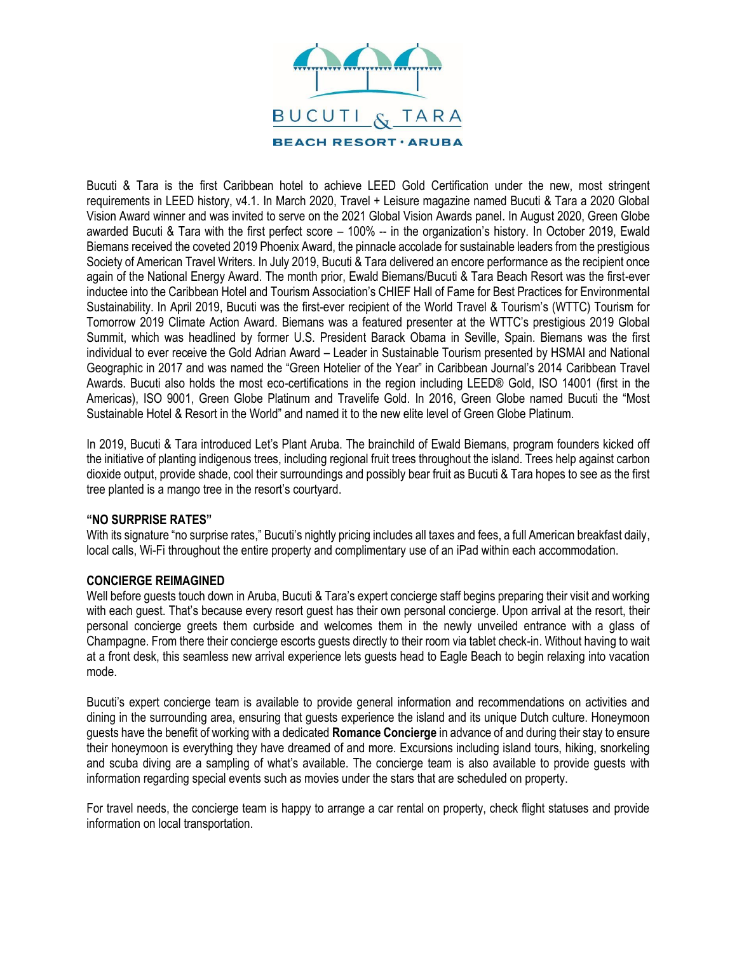

Bucuti & Tara is the first Caribbean hotel to achieve LEED Gold Certification under the new, most stringent requirements in LEED history, v4.1. In March 2020, Travel + Leisure magazine named Bucuti & Tara a 2020 Global Vision Award winner and was invited to serve on the 2021 Global Vision Awards panel. In August 2020, Green Globe awarded Bucuti & Tara with the first perfect score – 100% -- in the organization's history. In October 2019, Ewald Biemans received the coveted 2019 Phoenix Award, the pinnacle accolade for sustainable leaders from the prestigious Society of American Travel Writers. In July 2019, Bucuti & Tara delivered an encore performance as the recipient once again of the National Energy Award. The month prior, Ewald Biemans/Bucuti & Tara Beach Resort was the first-ever inductee into the Caribbean Hotel and Tourism Association's CHIEF Hall of Fame for Best Practices for Environmental Sustainability. In April 2019, Bucuti was the first-ever recipient of the World Travel & Tourism's (WTTC) Tourism for Tomorrow 2019 Climate Action Award. Biemans was a featured presenter at the WTTC's prestigious 2019 Global Summit, which was headlined by former U.S. President Barack Obama in Seville, Spain. Biemans was the first individual to ever receive the Gold Adrian Award – Leader in Sustainable Tourism presented by HSMAI and National Geographic in 2017 and was named the "Green Hotelier of the Year" in Caribbean Journal's 2014 Caribbean Travel Awards. Bucuti also holds the most eco-certifications in the region including LEED® Gold, ISO 14001 (first in the Americas), ISO 9001, Green Globe Platinum and Travelife Gold. In 2016, Green Globe named Bucuti the "Most Sustainable Hotel & Resort in the World" and named it to the new elite level of Green Globe Platinum.

In 2019, Bucuti & Tara introduced Let's Plant Aruba. The brainchild of Ewald Biemans, program founders kicked off the initiative of planting indigenous trees, including regional fruit trees throughout the island. Trees help against carbon dioxide output, provide shade, cool their surroundings and possibly bear fruit as Bucuti & Tara hopes to see as the first tree planted is a mango tree in the resort's courtyard.

## **"NO SURPRISE RATES"**

With its signature "no surprise rates," Bucuti's nightly pricing includes all taxes and fees, a full American breakfast daily, local calls, Wi-Fi throughout the entire property and complimentary use of an iPad within each accommodation.

## **CONCIERGE REIMAGINED**

Well before guests touch down in Aruba, Bucuti & Tara's expert concierge staff begins preparing their visit and working with each guest. That's because every resort guest has their own personal concierge. Upon arrival at the resort, their personal concierge greets them curbside and welcomes them in the newly unveiled entrance with a glass of Champagne. From there their concierge escorts guests directly to their room via tablet check-in. Without having to wait at a front desk, this seamless new arrival experience lets guests head to Eagle Beach to begin relaxing into vacation mode.

Bucuti's expert concierge team is available to provide general information and recommendations on activities and dining in the surrounding area, ensuring that guests experience the island and its unique Dutch culture. Honeymoon guests have the benefit of working with a dedicated **Romance Concierge** in advance of and during their stay to ensure their honeymoon is everything they have dreamed of and more. Excursions including island tours, hiking, snorkeling and scuba diving are a sampling of what's available. The concierge team is also available to provide guests with information regarding special events such as movies under the stars that are scheduled on property.

For travel needs, the concierge team is happy to arrange a car rental on property, check flight statuses and provide information on local transportation.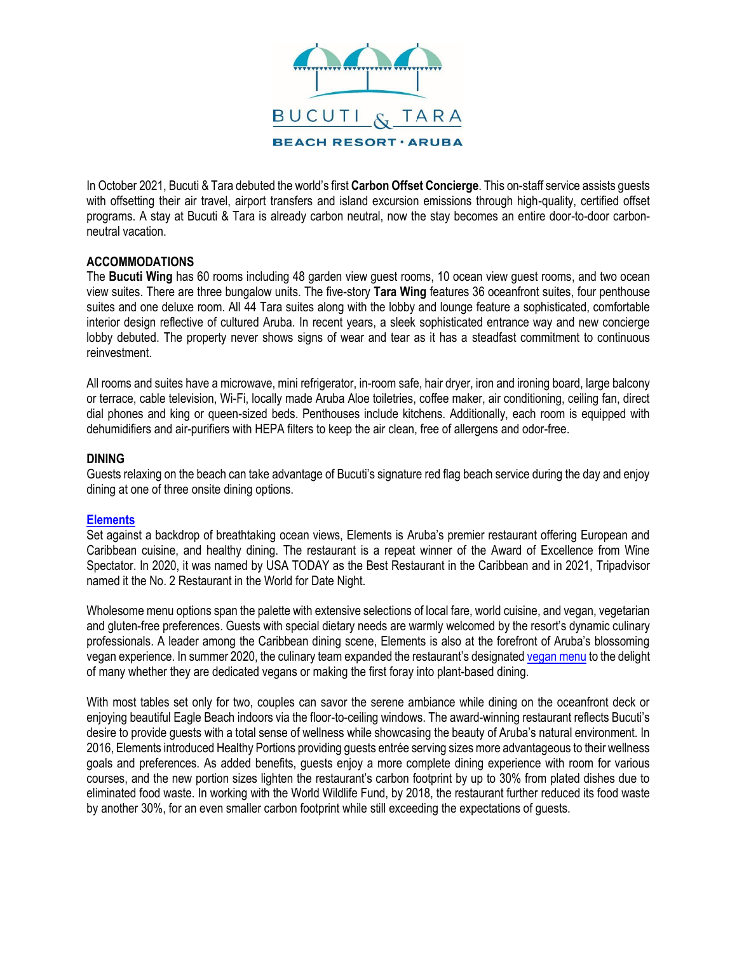

In October 2021, Bucuti & Tara debuted the world's first **Carbon Offset Concierge**. This on-staff service assists guests with offsetting their air travel, airport transfers and island excursion emissions through high-quality, certified offset programs. A stay at Bucuti & Tara is already carbon neutral, now the stay becomes an entire door-to-door carbonneutral vacation.

## **ACCOMMODATIONS**

The **Bucuti Wing** has 60 rooms including 48 garden view guest rooms, 10 ocean view guest rooms, and two ocean view suites. There are three bungalow units. The five-story **Tara Wing** features 36 oceanfront suites, four penthouse suites and one deluxe room. All 44 Tara suites along with the lobby and lounge feature a sophisticated, comfortable interior design reflective of cultured Aruba. In recent years, a sleek sophisticated entrance way and new concierge lobby debuted. The property never shows signs of wear and tear as it has a steadfast commitment to continuous reinvestment.

All rooms and suites have a microwave, mini refrigerator, in-room safe, hair dryer, iron and ironing board, large balcony or terrace, cable television, Wi-Fi, locally made Aruba Aloe toiletries, coffee maker, air conditioning, ceiling fan, direct dial phones and king or queen-sized beds. Penthouses include kitchens. Additionally, each room is equipped with dehumidifiers and air-purifiers with HEPA filters to keep the air clean, free of allergens and odor-free.

## **DINING**

Guests relaxing on the beach can take advantage of Bucuti's signature red flag beach service during the day and enjoy dining at one of three onsite dining options.

## **[Elements](http://www.elementsaruba.com/)**

Set against a backdrop of breathtaking ocean views, Elements is Aruba's premier restaurant offering European and Caribbean cuisine, and healthy dining. The restaurant is a repeat winner of the Award of Excellence from Wine Spectator. In 2020, it was named by USA TODAY as the Best Restaurant in the Caribbean and in 2021, Tripadvisor named it the No. 2 Restaurant in the World for Date Night.

Wholesome menu options span the palette with extensive selections of local fare, world cuisine, and vegan, vegetarian and gluten-free preferences. Guests with special dietary needs are warmly welcomed by the resort's dynamic culinary professionals. A leader among the Caribbean dining scene, Elements is also at the forefront of Aruba's blossoming vegan experience. In summer 2020, the culinary team expanded the restaurant's designate[d vegan menu](https://www.elementsaruba.com/menu) to the delight of many whether they are dedicated vegans or making the first foray into plant-based dining.

With most tables set only for two, couples can savor the serene ambiance while dining on the oceanfront deck or enjoying beautiful Eagle Beach indoors via the floor-to-ceiling windows. The award-winning restaurant reflects Bucuti's desire to provide guests with a total sense of wellness while showcasing the beauty of Aruba's natural environment. In 2016, Elements introduced Healthy Portions providing guests entrée serving sizes more advantageous to their wellness goals and preferences. As added benefits, guests enjoy a more complete dining experience with room for various courses, and the new portion sizes lighten the restaurant's carbon footprint by up to 30% from plated dishes due to eliminated food waste. In working with the World Wildlife Fund, by 2018, the restaurant further reduced its food waste by another 30%, for an even smaller carbon footprint while still exceeding the expectations of guests.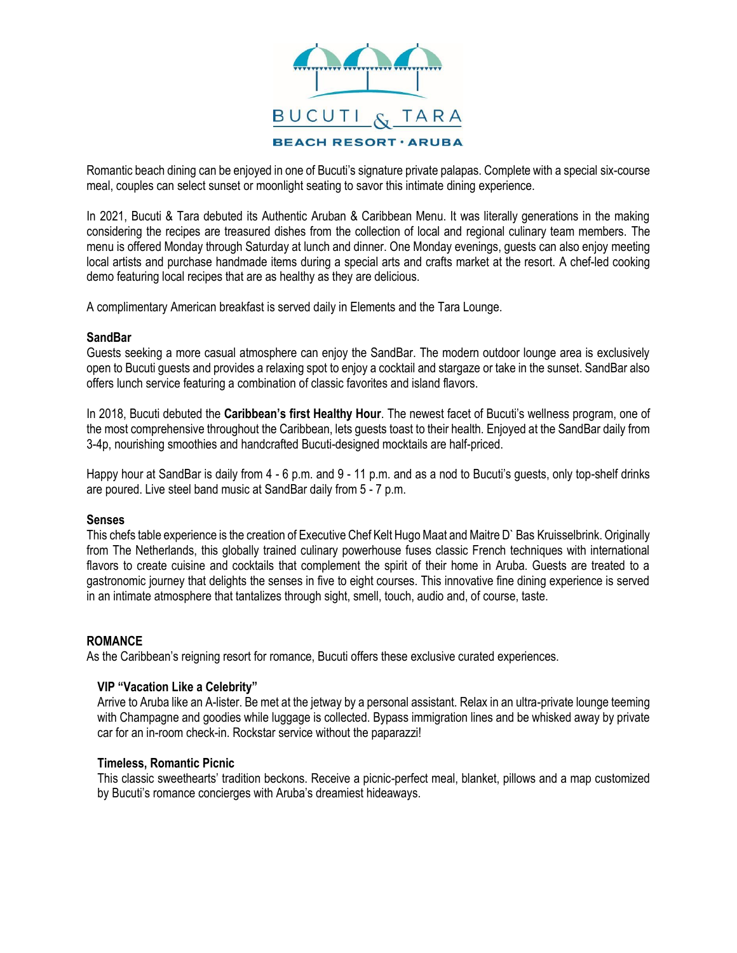

Romantic beach dining can be enjoyed in one of Bucuti's signature private palapas. Complete with a special six-course meal, couples can select sunset or moonlight seating to savor this intimate dining experience.

In 2021, Bucuti & Tara debuted its Authentic Aruban & Caribbean Menu. It was literally generations in the making considering the recipes are treasured dishes from the collection of local and regional culinary team members. The menu is offered Monday through Saturday at lunch and dinner. One Monday evenings, guests can also enjoy meeting local artists and purchase handmade items during a special arts and crafts market at the resort. A chef-led cooking demo featuring local recipes that are as healthy as they are delicious.

A complimentary American breakfast is served daily in Elements and the Tara Lounge.

#### **SandBar**

Guests seeking a more casual atmosphere can enjoy the SandBar. The modern outdoor lounge area is exclusively open to Bucuti guests and provides a relaxing spot to enjoy a cocktail and stargaze or take in the sunset. SandBar also offers lunch service featuring a combination of classic favorites and island flavors.

In 2018, Bucuti debuted the **Caribbean's first Healthy Hour**. The newest facet of Bucuti's wellness program, one of the most comprehensive throughout the Caribbean, lets guests toast to their health. Enjoyed at the SandBar daily from 3-4p, nourishing smoothies and handcrafted Bucuti-designed mocktails are half-priced.

Happy hour at SandBar is daily from 4 - 6 p.m. and 9 - 11 p.m. and as a nod to Bucuti's guests, only top-shelf drinks are poured. Live steel band music at SandBar daily from 5 - 7 p.m.

#### **Senses**

This chefs table experience is the creation of Executive Chef Kelt Hugo Maat and Maitre D` Bas Kruisselbrink. Originally from The Netherlands, this globally trained culinary powerhouse fuses classic French techniques with international flavors to create cuisine and cocktails that complement the spirit of their home in Aruba. Guests are treated to a gastronomic journey that delights the senses in five to eight courses. This innovative fine dining experience is served in an intimate atmosphere that tantalizes through sight, smell, touch, audio and, of course, taste.

## **ROMANCE**

As the Caribbean's reigning resort for romance, Bucuti offers these exclusive curated experiences.

## **VIP "Vacation Like a Celebrity"**

Arrive to Aruba like an A-lister. Be met at the jetway by a personal assistant. Relax in an ultra-private lounge teeming with Champagne and goodies while luggage is collected. Bypass immigration lines and be whisked away by private car for an in-room check-in. Rockstar service without the paparazzi!

#### **Timeless, Romantic Picnic**

This classic sweethearts' tradition beckons. Receive a picnic-perfect meal, blanket, pillows and a map customized by Bucuti's romance concierges with Aruba's dreamiest hideaways.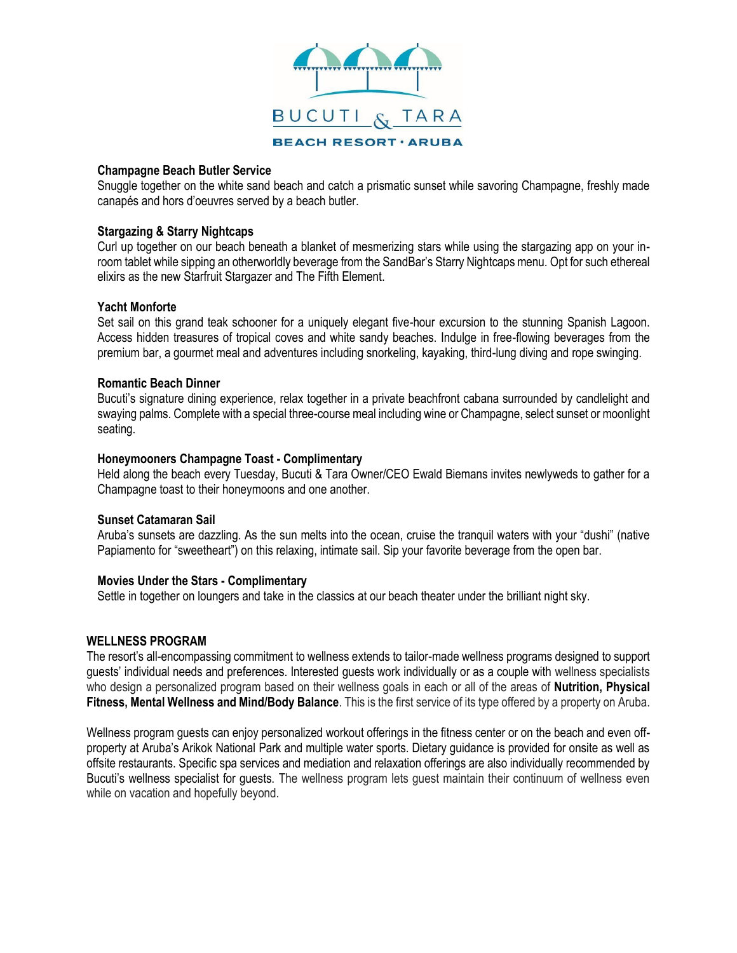

#### **Champagne Beach Butler Service**

Snuggle together on the white sand beach and catch a prismatic sunset while savoring Champagne, freshly made canapés and hors d'oeuvres served by a beach butler.

#### **Stargazing & Starry Nightcaps**

Curl up together on our beach beneath a blanket of mesmerizing stars while using the stargazing app on your inroom tablet while sipping an otherworldly beverage from the SandBar's Starry Nightcaps menu. Opt for such ethereal elixirs as the new Starfruit Stargazer and The Fifth Element.

#### **Yacht Monforte**

Set sail on this grand teak schooner for a uniquely elegant five-hour excursion to the stunning Spanish Lagoon. Access hidden treasures of tropical coves and white sandy beaches. Indulge in free-flowing beverages from the premium bar, a gourmet meal and adventures including snorkeling, kayaking, third-lung diving and rope swinging.

#### **Romantic Beach Dinner**

Bucuti's signature dining experience, relax together in a private beachfront cabana surrounded by candlelight and swaying palms. Complete with a special three-course meal including wine or Champagne, select sunset or moonlight seating.

#### **Honeymooners Champagne Toast - Complimentary**

Held along the beach every Tuesday, Bucuti & Tara Owner/CEO Ewald Biemans invites newlyweds to gather for a Champagne toast to their honeymoons and one another.

#### **Sunset Catamaran Sail**

Aruba's sunsets are dazzling. As the sun melts into the ocean, cruise the tranquil waters with your "dushi" (native Papiamento for "sweetheart") on this relaxing, intimate sail. Sip your favorite beverage from the open bar.

## **Movies Under the Stars - Complimentary**

Settle in together on loungers and take in the classics at our beach theater under the brilliant night sky.

## **WELLNESS PROGRAM**

The resort's all-encompassing commitment to wellness extends to tailor-made wellness programs designed to support guests' individual needs and preferences. Interested guests work individually or as a couple with wellness specialists who design a personalized program based on their wellness goals in each or all of the areas of **Nutrition, Physical Fitness, Mental Wellness and Mind/Body Balance**. This is the first service of its type offered by a property on Aruba.

Wellness program guests can enjoy personalized workout offerings in the fitness center or on the beach and even offproperty at Aruba's Arikok National Park and multiple water sports. Dietary guidance is provided for onsite as well as offsite restaurants. Specific spa services and mediation and relaxation offerings are also individually recommended by Bucuti's wellness specialist for guests. The wellness program lets guest maintain their continuum of wellness even while on vacation and hopefully beyond.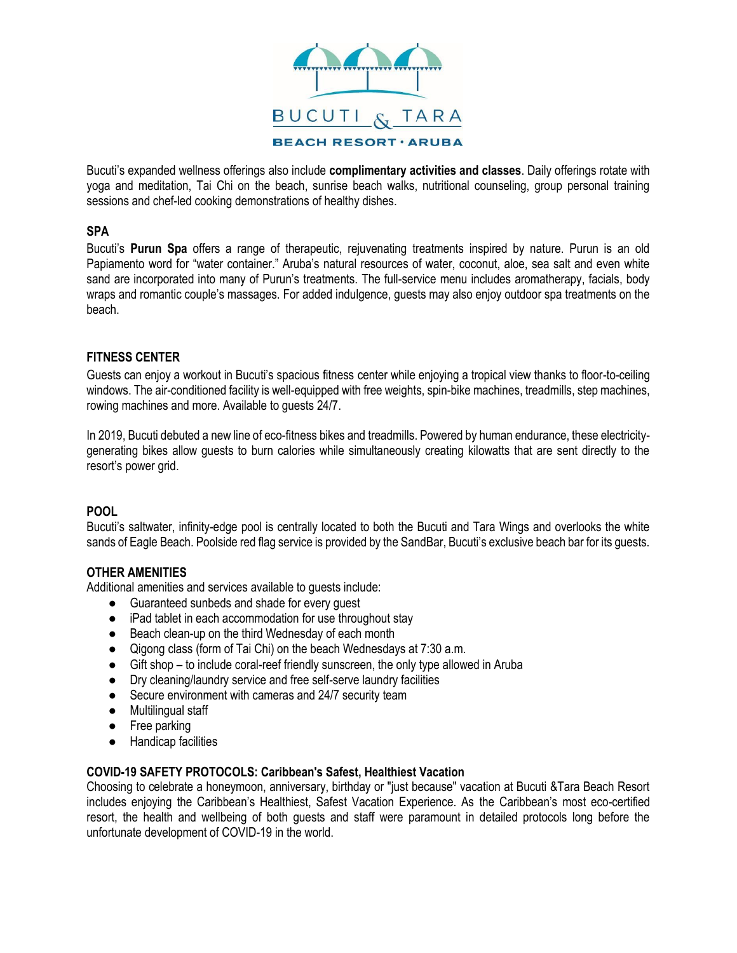

Bucuti's expanded wellness offerings also include **complimentary activities and classes**. Daily offerings rotate with yoga and meditation, Tai Chi on the beach, sunrise beach walks, nutritional counseling, group personal training sessions and chef-led cooking demonstrations of healthy dishes.

## **SPA**

Bucuti's **Purun Spa** offers a range of therapeutic, rejuvenating treatments inspired by nature. Purun is an old Papiamento word for "water container." Aruba's natural resources of water, coconut, aloe, sea salt and even white sand are incorporated into many of Purun's treatments. The full-service menu includes aromatherapy, facials, body wraps and romantic couple's massages. For added indulgence, guests may also enjoy outdoor spa treatments on the beach.

# **FITNESS CENTER**

Guests can enjoy a workout in Bucuti's spacious fitness center while enjoying a tropical view thanks to floor-to-ceiling windows. The air-conditioned facility is well-equipped with free weights, spin-bike machines, treadmills, step machines, rowing machines and more. Available to guests 24/7.

In 2019, Bucuti debuted a new line of eco-fitness bikes and treadmills. Powered by human endurance, these electricitygenerating bikes allow guests to burn calories while simultaneously creating kilowatts that are sent directly to the resort's power grid.

## **POOL**

Bucuti's saltwater, infinity-edge pool is centrally located to both the Bucuti and Tara Wings and overlooks the white sands of Eagle Beach. Poolside red flag service is provided by the SandBar, Bucuti's exclusive beach bar for its guests.

# **OTHER AMENITIES**

Additional amenities and services available to guests include:

- Guaranteed sunbeds and shade for every guest
- iPad tablet in each accommodation for use throughout stay
- Beach clean-up on the third Wednesday of each month
- Qigong class (form of Tai Chi) on the beach Wednesdays at 7:30 a.m.
- Gift shop to include coral-reef friendly sunscreen, the only type allowed in Aruba
- Dry cleaning/laundry service and free self-serve laundry facilities
- Secure environment with cameras and 24/7 security team
- Multilingual staff
- Free parking
- Handicap facilities

## **COVID-19 SAFETY PROTOCOLS: Caribbean's Safest, Healthiest Vacation**

Choosing to celebrate a honeymoon, anniversary, birthday or "just because" vacation at Bucuti &Tara Beach Resort includes enjoying the Caribbean's Healthiest, Safest Vacation Experience. As the Caribbean's most eco-certified resort, the health and wellbeing of both guests and staff were paramount in detailed protocols long before the unfortunate development of COVID-19 in the world.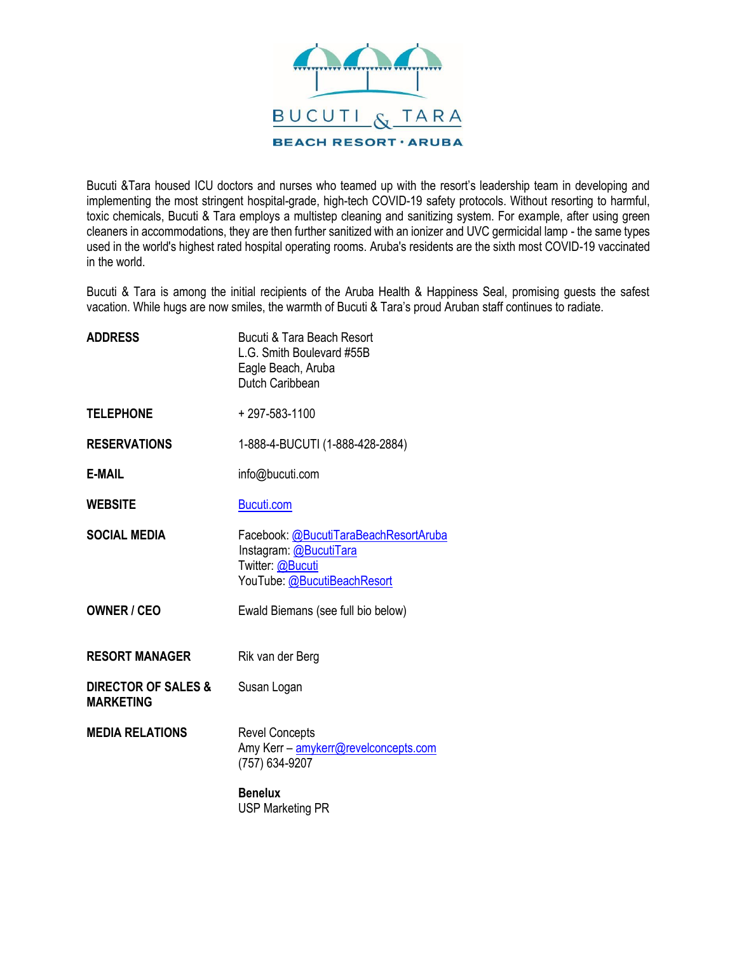

Bucuti &Tara housed ICU doctors and nurses who teamed up with the resort's leadership team in developing and implementing the most stringent hospital-grade, high-tech COVID-19 safety protocols. Without resorting to harmful, toxic chemicals, Bucuti & Tara employs a multistep cleaning and sanitizing system. For example, after using green cleaners in accommodations, they are then further sanitized with an ionizer and UVC germicidal lamp - the same types used in the world's highest rated hospital operating rooms. Aruba's residents are the sixth most COVID-19 vaccinated in the world.

Bucuti & Tara is among the initial recipients of the Aruba Health & Happiness Seal, promising guests the safest vacation. While hugs are now smiles, the warmth of Bucuti & Tara's proud Aruban staff continues to radiate.

| <b>ADDRESS</b>                                     | Bucuti & Tara Beach Resort<br>L.G. Smith Boulevard #55B<br>Eagle Beach, Aruba<br>Dutch Caribbean                   |
|----------------------------------------------------|--------------------------------------------------------------------------------------------------------------------|
| <b>TELEPHONE</b>                                   | +297-583-1100                                                                                                      |
| <b>RESERVATIONS</b>                                | 1-888-4-BUCUTI (1-888-428-2884)                                                                                    |
| <b>E-MAIL</b>                                      | info@bucuti.com                                                                                                    |
| <b>WEBSITE</b>                                     | Bucuti.com                                                                                                         |
| <b>SOCIAL MEDIA</b>                                | Facebook: @BucutiTaraBeachResortAruba<br>Instagram: @BucutiTara<br>Twitter: @Bucuti<br>YouTube: @BucutiBeachResort |
| <b>OWNER / CEO</b>                                 | Ewald Biemans (see full bio below)                                                                                 |
| <b>RESORT MANAGER</b>                              | Rik van der Berg                                                                                                   |
| <b>DIRECTOR OF SALES &amp;</b><br><b>MARKETING</b> | Susan Logan                                                                                                        |
| <b>MEDIA RELATIONS</b>                             | <b>Revel Concepts</b><br>Amy Kerr - amykerr@revelconcepts.com<br>(757) 634-9207                                    |
|                                                    | <b>Benelux</b><br><b>USP Marketing PR</b>                                                                          |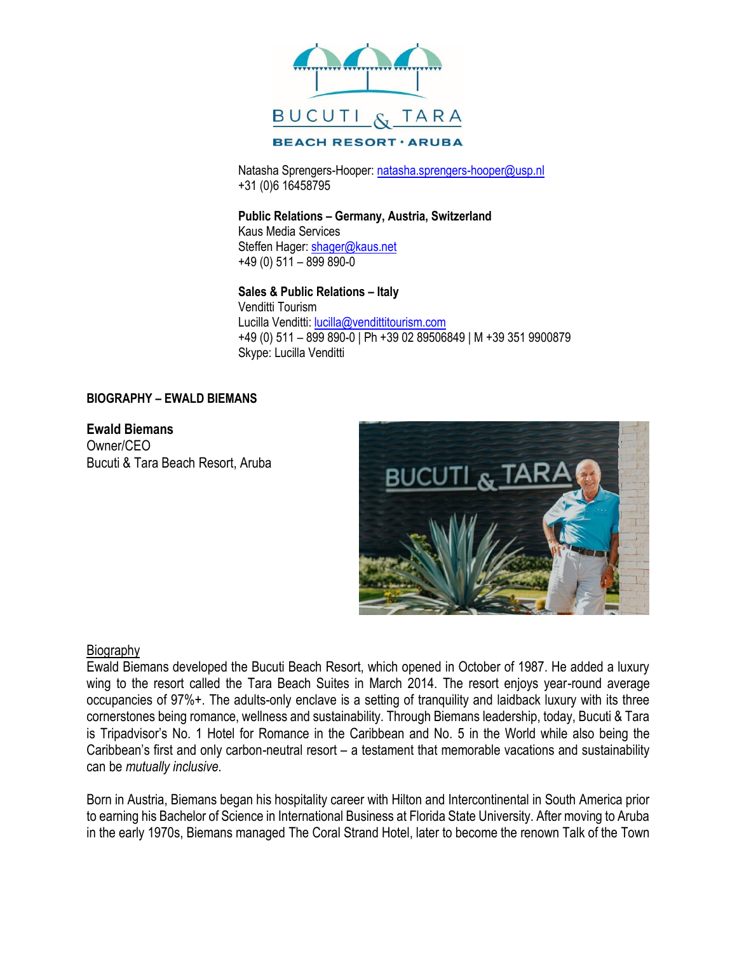

Natasha Sprengers-Hooper: [natasha.sprengers-hooper@usp.nl](mailto:natasha.sprengers-hooper@usp.nl) +31 (0)6 16458795

**Public Relations – Germany, Austria, Switzerland** Kaus Media Services Steffen Hager[: shager@kaus.net](mailto:shager@kaus.net) +49 (0) 511 – 899 890-0

**Sales & Public Relations – Italy** Venditti Tourism Lucilla Venditti: [lucilla@vendittitourism.com](mailto:lucilla@vendittitourism.com) +49 (0) 511 – 899 890-0 | Ph +39 02 89506849 | M +39 351 9900879 Skype: Lucilla Venditti

# **BIOGRAPHY – EWALD BIEMANS**

**Ewald Biemans** Owner/CEO Bucuti & Tara Beach Resort, Aruba



# **Biography**

Ewald Biemans developed the Bucuti Beach Resort, which opened in October of 1987. He added a luxury wing to the resort called the Tara Beach Suites in March 2014. The resort enjoys year-round average occupancies of 97%+. The adults-only enclave is a setting of tranquility and laidback luxury with its three cornerstones being romance, wellness and sustainability. Through Biemans leadership, today, Bucuti & Tara is Tripadvisor's No. 1 Hotel for Romance in the Caribbean and No. 5 in the World while also being the Caribbean's first and only carbon-neutral resort – a testament that memorable vacations and sustainability can be *mutually inclusive.*

Born in Austria, Biemans began his hospitality career with Hilton and Intercontinental in South America prior to earning his Bachelor of Science in International Business at Florida State University. After moving to Aruba in the early 1970s, Biemans managed The Coral Strand Hotel, later to become the renown Talk of the Town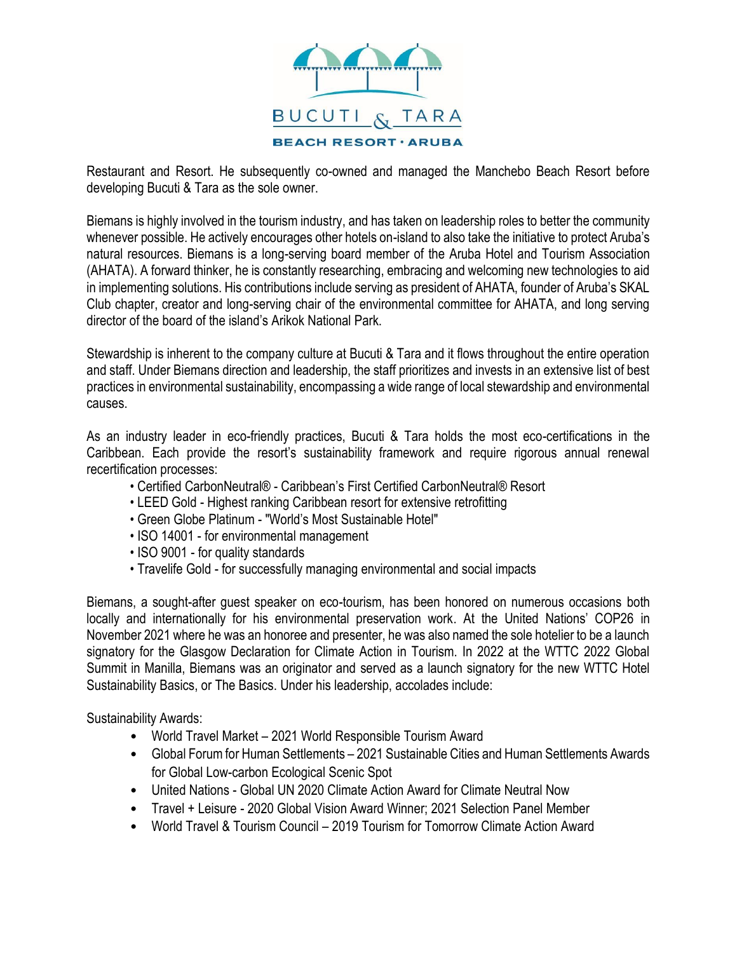

Restaurant and Resort. He subsequently co-owned and managed the Manchebo Beach Resort before developing Bucuti & Tara as the sole owner.

Biemans is highly involved in the tourism industry, and has taken on leadership roles to better the community whenever possible. He actively encourages other hotels on-island to also take the initiative to protect Aruba's natural resources. Biemans is a long-serving board member of the Aruba Hotel and Tourism Association (AHATA). A forward thinker, he is constantly researching, embracing and welcoming new technologies to aid in implementing solutions. His contributions include serving as president of AHATA, founder of Aruba's SKAL Club chapter, creator and long-serving chair of the environmental committee for AHATA, and long serving director of the board of the island's Arikok National Park.

Stewardship is inherent to the company culture at Bucuti & Tara and it flows throughout the entire operation and staff. Under Biemans direction and leadership, the staff prioritizes and invests in an extensive list of best practices in environmental sustainability, encompassing a wide range of local stewardship and environmental causes.

As an industry leader in eco-friendly practices, Bucuti & Tara holds the most eco-certifications in the Caribbean. Each provide the resort's sustainability framework and require rigorous annual renewal recertification processes:

- Certified CarbonNeutral® Caribbean's First Certified CarbonNeutral® Resort
- LEED Gold Highest ranking Caribbean resort for extensive retrofitting
- Green Globe Platinum "World's Most Sustainable Hotel"
- ISO 14001 for environmental management
- ISO 9001 for quality standards
- Travelife Gold for successfully managing environmental and social impacts

Biemans, a sought-after guest speaker on eco-tourism, has been honored on numerous occasions both locally and internationally for his environmental preservation work. At the United Nations' COP26 in November 2021 where he was an honoree and presenter, he was also named the sole hotelier to be a launch signatory for the Glasgow Declaration for Climate Action in Tourism. In 2022 at the WTTC 2022 Global Summit in Manilla, Biemans was an originator and served as a launch signatory for the new WTTC Hotel Sustainability Basics, or The Basics. Under his leadership, accolades include:

Sustainability Awards:

- World Travel Market 2021 World Responsible Tourism Award
- Global Forum for Human Settlements 2021 Sustainable Cities and Human Settlements Awards for Global Low-carbon Ecological Scenic Spot
- United Nations Global UN 2020 Climate Action Award for Climate Neutral Now
- Travel + Leisure 2020 Global Vision Award Winner; 2021 Selection Panel Member
- World Travel & Tourism Council 2019 Tourism for Tomorrow Climate Action Award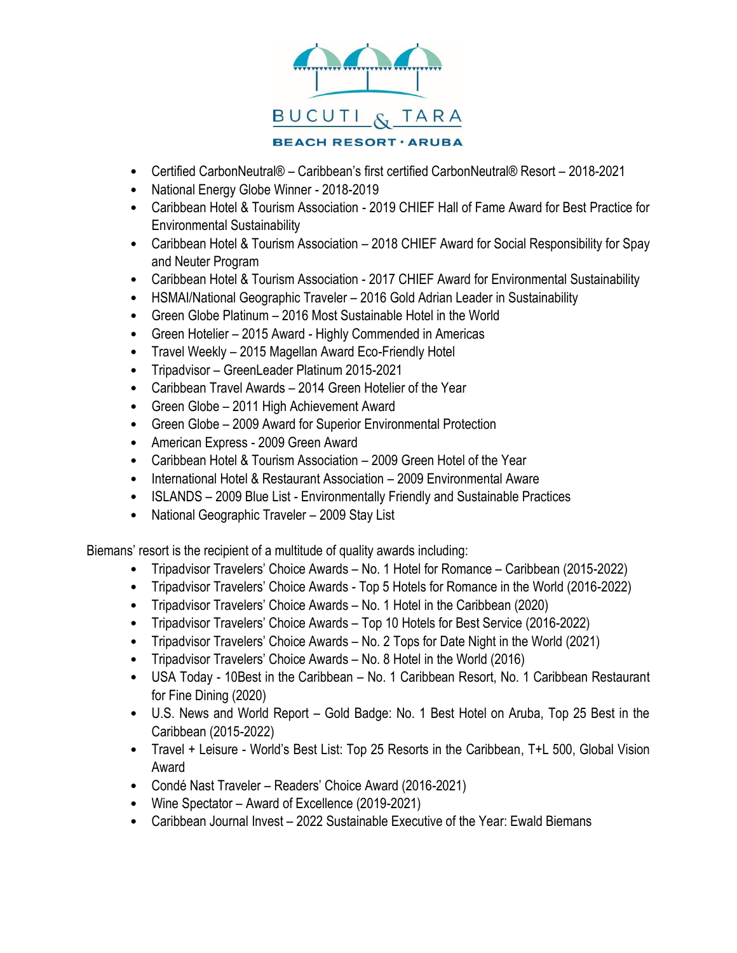

- Certified CarbonNeutral® Caribbean's first certified CarbonNeutral® Resort 2018-2021
- National Energy Globe Winner 2018-2019
- Caribbean Hotel & Tourism Association 2019 CHIEF Hall of Fame Award for Best Practice for Environmental Sustainability
- Caribbean Hotel & Tourism Association 2018 CHIEF Award for Social Responsibility for Spay and Neuter Program
- Caribbean Hotel & Tourism Association 2017 CHIEF Award for Environmental Sustainability
- HSMAI/National Geographic Traveler 2016 Gold Adrian Leader in Sustainability
- Green Globe Platinum 2016 Most Sustainable Hotel in the World
- Green Hotelier 2015 Award Highly Commended in Americas
- Travel Weekly 2015 Magellan Award Eco-Friendly Hotel
- Tripadvisor GreenLeader Platinum 2015-2021
- Caribbean Travel Awards 2014 Green Hotelier of the Year
- Green Globe 2011 High Achievement Award
- Green Globe 2009 Award for Superior Environmental Protection
- American Express 2009 Green Award
- Caribbean Hotel & Tourism Association 2009 Green Hotel of the Year
- International Hotel & Restaurant Association 2009 Environmental Aware
- ISLANDS 2009 Blue List Environmentally Friendly and Sustainable Practices
- National Geographic Traveler 2009 Stay List

Biemans' resort is the recipient of a multitude of quality awards including:

- Tripadvisor Travelers' Choice Awards No. 1 Hotel for Romance Caribbean (2015-2022)
- Tripadvisor Travelers' Choice Awards Top 5 Hotels for Romance in the World (2016-2022)
- Tripadvisor Travelers' Choice Awards No. 1 Hotel in the Caribbean (2020)
- Tripadvisor Travelers' Choice Awards Top 10 Hotels for Best Service (2016-2022)
- Tripadvisor Travelers' Choice Awards No. 2 Tops for Date Night in the World (2021)
- Tripadvisor Travelers' Choice Awards No. 8 Hotel in the World (2016)
- USA Today 10Best in the Caribbean No. 1 Caribbean Resort, No. 1 Caribbean Restaurant for Fine Dining (2020)
- U.S. News and World Report Gold Badge: No. 1 Best Hotel on Aruba, Top 25 Best in the Caribbean (2015-2022)
- Travel + Leisure World's Best List: Top 25 Resorts in the Caribbean, T+L 500, Global Vision Award
- Condé Nast Traveler Readers' Choice Award (2016-2021)
- Wine Spectator Award of Excellence (2019-2021)
- Caribbean Journal Invest 2022 Sustainable Executive of the Year: Ewald Biemans